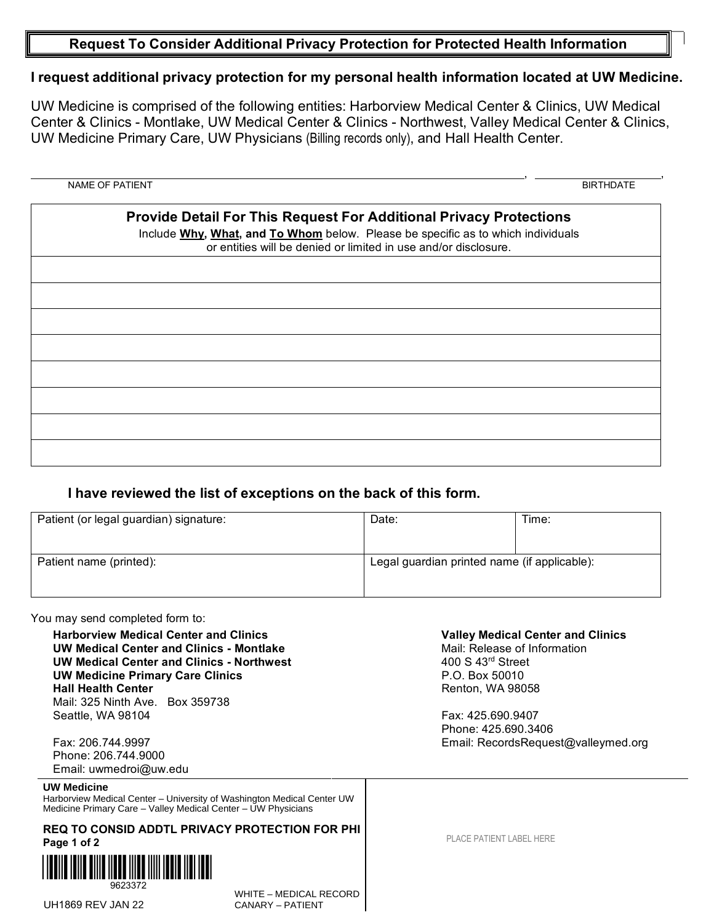## **Request To Consider Additional Privacy Protection for Protected Health Information**

## **I request additional privacy protection for my personal health information located at UW Medicine.**

UW Medicine is comprised of the following entities: Harborview Medical Center & Clinics, UW Medical Center & Clinics - Montlake, UW Medical Center & Clinics - Northwest, Valley Medical Center & Clinics, UW Medicine Primary Care, UW Physicians (Billing records only), and Hall Health Center.

# , , NAME OF PATIENT BIRTHDATE

| <b>Provide Detail For This Request For Additional Privacy Protections</b><br>Include Why, What, and To Whom below. Please be specific as to which individuals<br>or entities will be denied or limited in use and/or disclosure. |
|----------------------------------------------------------------------------------------------------------------------------------------------------------------------------------------------------------------------------------|
|                                                                                                                                                                                                                                  |
|                                                                                                                                                                                                                                  |
|                                                                                                                                                                                                                                  |
|                                                                                                                                                                                                                                  |
|                                                                                                                                                                                                                                  |
|                                                                                                                                                                                                                                  |
|                                                                                                                                                                                                                                  |
|                                                                                                                                                                                                                                  |
|                                                                                                                                                                                                                                  |

## **I have reviewed the list of exceptions on the back of this form.**

| Patient (or legal guardian) signature: | Date:                                        | Time: |
|----------------------------------------|----------------------------------------------|-------|
| Patient name (printed):                | Legal guardian printed name (if applicable): |       |

#### You may send completed form to:

**Harborview Medical Center and Clinics UW Medical Center and Clinics - Montlake UW Medical Center and Clinics - Northwest UW Medicine Primary Care Clinics Hall Health Center** Mail: 325 Ninth Ave. Box 359738 Seattle, WA 98104

Fax: 206.744.9997 Phone: 206.744.9000 Email: uwmedroi@uw.edu

#### **UW Medicine**

Harborview Medical Center – University of Washington Medical Center UW Medicine Primary Care – Valley Medical Center – UW Physicians

### **REQ TO CONSID ADDTL PRIVACY PROTECTION FOR PHI Page 1 of 2**



**UH1869 REV JAN 22** 

WHITE – MEDICAL RECORD

PLACE PATIENT LABEL HERE

**Valley Medical Center and Clinics**

Email: RecordsRequest@valleymed.org

Mail: Release of Information

400 S 43rd Street P.O. Box 50010 Renton, WA 98058

Fax: 425.690.9407 Phone: 425.690.3406